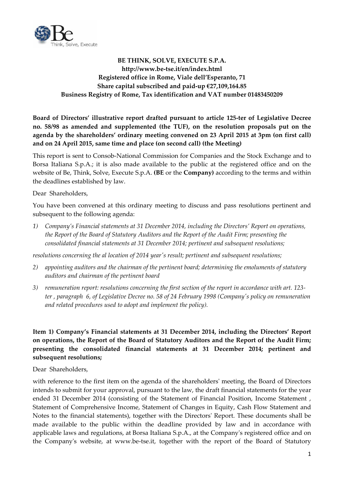

# **BE THINK, SOLVE, EXECUTE S.P.A. http://www.be‐tse.it/en/index.html Registered office in Rome, Viale dell'Esperanto, 71 Share capital subscribed and paid‐up €27,109,164.85 Business Registry of Rome, Tax identification and VAT number 01483450209**

**Board of Directors' illustrative report drafted pursuant to article 125‐ter of Legislative Decree no. 58/98 as amended and supplemented (the TUF), on the resolution proposals put on the agenda by the shareholders' ordinary meeting convened on 23 April 2015 at 3pm (on first call) and on 24 April 2015, same time and place (on second call) (the Meeting)**

This report is sent to Consob‐National Commission for Companies and the Stock Exchange and to Borsa Italiana S.p.A.; it is also made available to the public at the registered office and on the website of Be, Think, Solve, Execute S.p.A. **(BE** or the **Company)** according to the terms and within the deadlines established by law.

Dear Shareholders,

You have been convened at this ordinary meeting to discuss and pass resolutions pertinent and subsequent to the following agenda:

*1) Company's Financial statements at 31 December 2014, including the Directors' Report on operations, the Report of the Board of Statutory Auditors and the Report of the Audit Firm; presenting the consolidated financial statements at 31 December 2014; pertinent and subsequent resolutions;*

*resolutions concerning the al location of 2014 yearʹs result; pertinent and subsequent resolutions;*

- *2) appointing auditors and the chairman of the pertinent board; determining the emoluments of statutory auditors and chairman of the pertinent board*
- 3) remuneration report: resolutions concerning the first section of the report in accordance with art. 123ter, paragraph 6, of Legislative Decree no. 58 of 24 February 1998 (Company's policy on remuneration *and related procedures used to adopt and implement the policy).*

# **Item 1) Company's Financial statements at 31 December 2014, including the Directors' Report on operations, the Report of the Board of Statutory Auditors and the Report of the Audit Firm; presenting the consolidated financial statements at 31 December 2014; pertinent and subsequent resolutions;**

Dear Shareholders,

with reference to the first item on the agenda of the shareholders' meeting, the Board of Directors intends to submit for your approval, pursuant to the law, the draft financial statements for the year ended 31 December 2014 (consisting of the Statement of Financial Position, Income Statement , Statement of Comprehensive Income, Statement of Changes in Equity, Cash Flow Statement and Notes to the financial statements), together with the Directorsʹ Report. These documents shall be made available to the public within the deadline provided by law and in accordance with applicable laws and regulations, at Borsa Italiana S.p.A., at the Companyʹs registered office and on the Company's website, at www.be-tse.it, together with the report of the Board of Statutory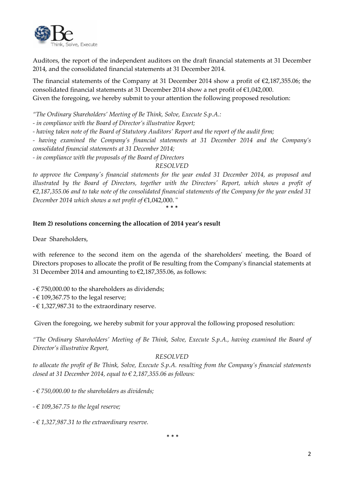

Auditors, the report of the independent auditors on the draft financial statements at 31 December 2014, and the consolidated financial statements at 31 December 2014.

The financial statements of the Company at 31 December 2014 show a profit of €2,187,355.06; the consolidated financial statements at 31 December 2014 show a net profit of €1,042,000. Given the foregoing, we hereby submit to your attention the following proposed resolution:

*"The Ordinary Shareholders' Meeting of Be Think, Solve, Execute S.p.A.:*

*‐ in compliance with the Board of Director's illustrative Report;*

*‐ having taken note of the Board of Statutory Auditors' Report and the report of the audit firm;*

*‐ having examined the Company's financial statements at 31 December 2014 and the Company's consolidated financial statements at 31 December 2014;*

*‐ in compliance with the proposals of the Board of Directors*

### *RESOLVED*

*to approve the Companyʹs financial statements for the year ended 31 December 2014, as proposed and illustrated by the Board of Directors, together with the Directorsʹ Report, which shows a profit of*  $\epsilon$ 2,187,355.06 and to take note of the consolidated financial statements of the Company for the year ended 31 *December* 2014 *which shows a net profit of*  $\epsilon$ 1,042,000.

#### \* \* \*

### **Item 2) resolutions concerning the allocation of 2014 year's result**

Dear Shareholders,

with reference to the second item on the agenda of the shareholders' meeting, the Board of Directors proposes to allocate the profit of Be resulting from the Companyʹs financial statements at 31 December 2014 and amounting to  $\epsilon$ 2,187,355.06, as follows:

- $\epsilon$  750,000.00 to the shareholders as dividends;
- $€ 109,367.75$  to the legal reserve;
- $\in$  1,327,987.31 to the extraordinary reserve.

Given the foregoing, we hereby submit for your approval the following proposed resolution:

*"The Ordinary Shareholders' Meeting of Be Think, Solve, Execute S.p.A., having examined the Board of Director's illustrative Report,*

#### *RESOLVED*

*to allocate the profit of Be Think, Solve, Execute S.p.A. resulting from the Company's financial statements closed at 31 December 2014, equal to € 2,187,355.06 as follows:*

*‐ € 750,000.00 to the shareholders as dividends;*

*‐ € 109,367.75 to the legal reserve;*

*‐ € 1,327,987.31 to the extraordinary reserve.*

\* \* \*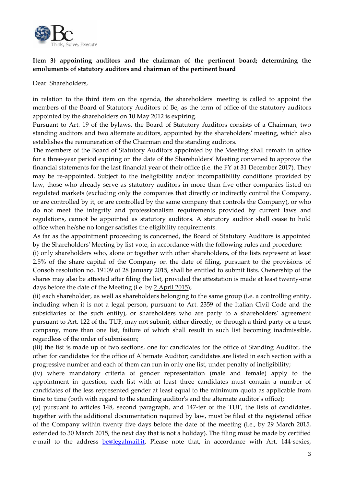

# **Item 3) appointing auditors and the chairman of the pertinent board; determining the emoluments of statutory auditors and chairman of the pertinent board**

Dear Shareholders,

in relation to the third item on the agenda, the shareholdersʹ meeting is called to appoint the members of the Board of Statutory Auditors of Be, as the term of office of the statutory auditors appointed by the shareholders on 10 May 2012 is expiring.

Pursuant to Art. 19 of the bylaws, the Board of Statutory Auditors consists of a Chairman, two standing auditors and two alternate auditors, appointed by the shareholdersʹ meeting, which also establishes the remuneration of the Chairman and the standing auditors.

The members of the Board of Statutory Auditors appointed by the Meeting shall remain in office for a three‐year period expiring on the date of the Shareholders' Meeting convened to approve the financial statements for the last financial year of their office (i.e. the FY at 31 December 2017). They may be re‐appointed. Subject to the ineligibility and/or incompatibility conditions provided by law, those who already serve as statutory auditors in more than five other companies listed on regulated markets (excluding only the companies that directly or indirectly control the Company, or are controlled by it, or are controlled by the same company that controls the Company), or who do not meet the integrity and professionalism requirements provided by current laws and regulations, cannot be appointed as statutory auditors. A statutory auditor shall cease to hold office when he/she no longer satisfies the eligibility requirements.

As far as the appointment proceeding is concerned, the Board of Statutory Auditors is appointed by the Shareholdersʹ Meeting by list vote, in accordance with the following rules and procedure:

(i) only shareholders who, alone or together with other shareholders, of the lists represent at least 2.5% of the share capital of the Company on the date of filing, pursuant to the provisions of Consob resolution no. 19109 of 28 January 2015, shall be entitled to submit lists. Ownership of the shares may also be attested after filing the list, provided the attestation is made at least twenty-one days before the date of the Meeting (i.e. by 2 April 2015);

(ii) each shareholder, as well as shareholders belonging to the same group (i.e. a controlling entity, including when it is not a legal person, pursuant to Art. 2359 of the Italian Civil Code and the subsidiaries of the such entity), or shareholders who are party to a shareholders' agreement pursuant to Art. 122 of the TUF, may not submit, either directly, or through a third party or a trust company, more than one list, failure of which shall result in such list becoming inadmissible, regardless of the order of submission;

(iii) the list is made up of two sections, one for candidates for the office of Standing Auditor, the other for candidates for the office of Alternate Auditor; candidates are listed in each section with a progressive number and each of them can run in only one list, under penalty of ineligibility;

(iv) where mandatory criteria of gender representation (male and female) apply to the appointment in question, each list with at least three candidates must contain a number of candidates of the less represented gender at least equal to the minimum quota as applicable from time to time (both with regard to the standing auditor's and the alternate auditor's office);

(v) pursuant to articles 148, second paragraph, and 147‐ter of the TUF, the lists of candidates, together with the additional documentation required by law, must be filed at the registered office of the Company within twenty five days before the date of the meeting (i.e., by 29 March 2015, extended to 30 March 2015, the next day that is not a holiday). The filing must be made by certified e-mail to the address be@legalmail.it. Please note that, in accordance with Art. 144-sexies,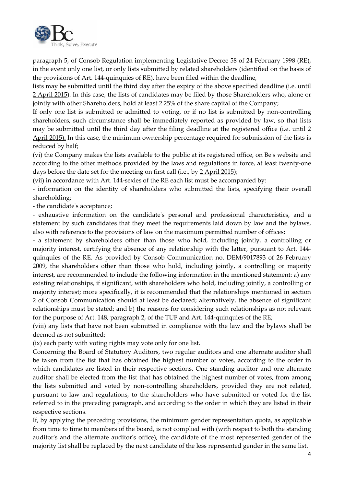

paragraph 5, of Consob Regulation implementing Legislative Decree 58 of 24 February 1998 (RE), in the event only one list, or only lists submitted by related shareholders (identified on the basis of the provisions of Art. 144‐quinquies of RE), have been filed within the deadline,

lists may be submitted until the third day after the expiry of the above specified deadline (i.e. until 2 April 2015). In this case, the lists of candidates may be filed by those Shareholders who, alone or jointly with other Shareholders, hold at least 2.25% of the share capital of the Company;

If only one list is submitted or admitted to voting, or if no list is submitted by non‐controlling shareholders, such circumstance shall be immediately reported as provided by law, so that lists may be submitted until the third day after the filing deadline at the registered office (i.e. until 2 April 2015). In this case, the minimum ownership percentage required for submission of the lists is reduced by half;

(vi) the Company makes the lists available to the public at its registered office, on Beʹs website and according to the other methods provided by the laws and regulations in force, at least twenty‐one days before the date set for the meeting on first call (i.e., by 2 April 2015);

(vii) in accordance with Art. 144‐sexies of the RE each list must be accompanied by:

‐ information on the identity of shareholders who submitted the lists, specifying their overall shareholding;

‐ the candidateʹs acceptance;

‐ exhaustive information on the candidateʹs personal and professional characteristics, and a statement by such candidates that they meet the requirements laid down by law and the bylaws, also with reference to the provisions of law on the maximum permitted number of offices;

‐ a statement by shareholders other than those who hold, including jointly, a controlling or majority interest, certifying the absence of any relationship with the latter, pursuant to Art. 144‐ quinquies of the RE. As provided by Consob Communication no. DEM/9017893 of 26 February 2009, the shareholders other than those who hold, including jointly, a controlling or majority interest, are recommended to include the following information in the mentioned statement: a) any existing relationships, if significant, with shareholders who hold, including jointly, a controlling or majority interest; more specifically, it is recommended that the relationships mentioned in section 2 of Consob Communication should at least be declared; alternatively, the absence of significant relationships must be stated; and b) the reasons for considering such relationships as not relevant for the purpose of Art. 148, paragraph 2, of the TUF and Art. 144-quinquies of the RE;

(viii) any lists that have not been submitted in compliance with the law and the bylaws shall be deemed as not submitted;

(ix) each party with voting rights may vote only for one list.

Concerning the Board of Statutory Auditors, two regular auditors and one alternate auditor shall be taken from the list that has obtained the highest number of votes, according to the order in which candidates are listed in their respective sections. One standing auditor and one alternate auditor shall be elected from the list that has obtained the highest number of votes, from among the lists submitted and voted by non‐controlling shareholders, provided they are not related, pursuant to law and regulations, to the shareholders who have submitted or voted for the list referred to in the preceding paragraph, and according to the order in which they are listed in their respective sections.

If, by applying the preceding provisions, the minimum gender representation quota, as applicable from time to time to members of the board, is not complied with (with respect to both the standing auditor's and the alternate auditor's office), the candidate of the most represented gender of the majority list shall be replaced by the next candidate of the less represented gender in the same list.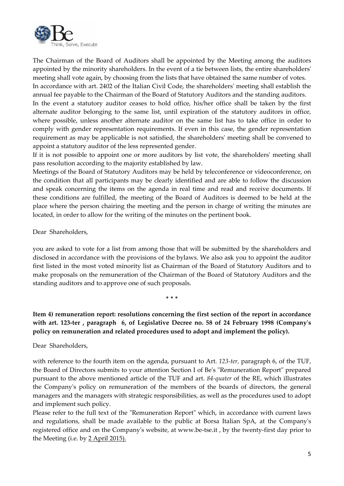

The Chairman of the Board of Auditors shall be appointed by the Meeting among the auditors appointed by the minority shareholders. In the event of a tie between lists, the entire shareholders' meeting shall vote again, by choosing from the lists that have obtained the same number of votes.

In accordance with art. 2402 of the Italian Civil Code, the shareholdersʹ meeting shall establish the annual fee payable to the Chairman of the Board of Statutory Auditors and the standing auditors.

In the event a statutory auditor ceases to hold office, his/her office shall be taken by the first alternate auditor belonging to the same list, until expiration of the statutory auditors in office, where possible, unless another alternate auditor on the same list has to take office in order to comply with gender representation requirements. If even in this case, the gender representation requirement as may be applicable is not satisfied, the shareholdersʹ meeting shall be convened to appoint a statutory auditor of the less represented gender.

If it is not possible to appoint one or more auditors by list vote, the shareholders' meeting shall pass resolution according to the majority established by law.

Meetings of the Board of Statutory Auditors may be held by teleconference or videoconference, on the condition that all participants may be clearly identified and are able to follow the discussion and speak concerning the items on the agenda in real time and read and receive documents. If these conditions are fulfilled, the meeting of the Board of Auditors is deemed to be held at the place where the person chairing the meeting and the person in charge of writing the minutes are located, in order to allow for the writing of the minutes on the pertinent book.

Dear Shareholders,

you are asked to vote for a list from among those that will be submitted by the shareholders and disclosed in accordance with the provisions of the bylaws. We also ask you to appoint the auditor first listed in the most voted minority list as Chairman of the Board of Statutory Auditors and to make proposals on the remuneration of the Chairman of the Board of Statutory Auditors and the standing auditors and to approve one of such proposals.

**Item 4) remuneration report: resolutions concerning the first section of the report in accordance** with art. 123-ter, paragraph 6, of Legislative Decree no. 58 of 24 February 1998 (Company's **policy on remuneration and related procedures used to adopt and implement the policy).**

\* \* \*

Dear Shareholders,

with reference to the fourth item on the agenda, pursuant to Art. *123‐ter,* paragraph 6, of the TUF, the Board of Directors submits to your attention Section I of Be's "Remuneration Report" prepared pursuant to the above mentioned article of the TUF and art. *84‐quater* of the RE, which illustrates the Companyʹs policy on remuneration of the members of the boards of directors, the general managers and the managers with strategic responsibilities, as well as the procedures used to adopt and implement such policy.

Please refer to the full text of the "Remuneration Report" which, in accordance with current laws and regulations, shall be made available to the public at Borsa Italian SpA, at the Companyʹs registered office and on the Companyʹs website, at www.be‐tse.it , by the twenty‐first day prior to the Meeting (i.e. by 2 April 2015).